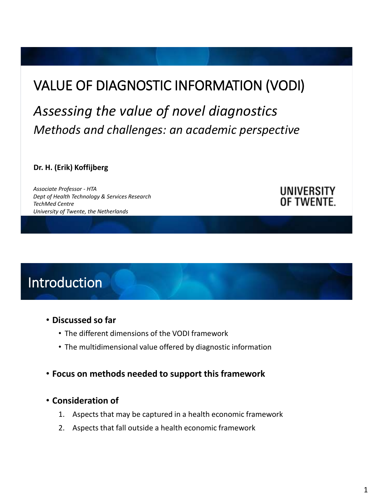# VALUE OF DIAGNOSTIC INFORMATION (VODI)

*Assessing the value of novel diagnostics Methods and challenges: an academic perspective*

**Dr. H. (Erik) Koffijberg**

*Associate Professor - HTA Dept of Health Technology & Services Research TechMed Centre University of Twente, the Netherlands*

#### UNIVERSITY OF TWENTE.

Introduction

- **Discussed so far**
	- The different dimensions of the VODI framework
	- The multidimensional value offered by diagnostic information
- **Focus on methods needed to support this framework**
- **Consideration of** 
	- 1. Aspects that may be captured in a health economic framework
	- 2. Aspects that fall outside a health economic framework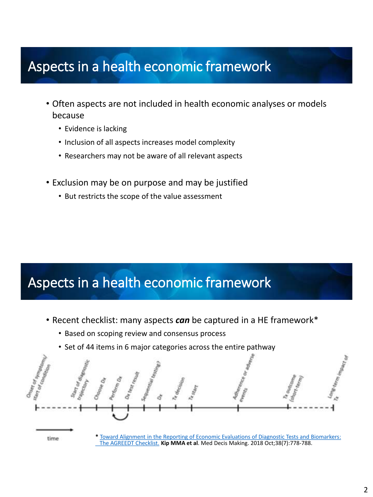# Aspects in a health economic framework

- Often aspects are not included in health economic analyses or models because
	- Evidence is lacking
	- Inclusion of all aspects increases model complexity
	- Researchers may not be aware of all relevant aspects
- Exclusion may be on purpose and may be justified
	- But restricts the scope of the value assessment

# Aspects in a health economic framework

- Recent checklist: many aspects *can* be captured in a HE framework\*
	- Based on scoping review and consensus process
	- Set of 44 items in 6 major categories across the entire pathway



[The AGREEDT Checklist.](https://www.ncbi.nlm.nih.gov/pubmed/30248275) **Kip MMA et al**. Med Decis Making. 2018 Oct;38(7):778-788.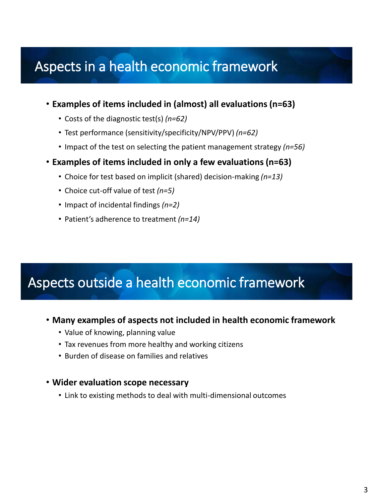## Aspects in a health economic framework

- **Examples of items included in (almost) all evaluations (n=63)**
	- Costs of the diagnostic test(s) *(n=62)*
	- Test performance (sensitivity/specificity/NPV/PPV) *(n=62)*
	- Impact of the test on selecting the patient management strategy *(n=56)*
- **Examples of items included in only a few evaluations (n=63)**
	- Choice for test based on implicit (shared) decision-making *(n=13)*
	- Choice cut-off value of test *(n=5)*
	- Impact of incidental findings *(n=2)*
	- Patient's adherence to treatment *(n=14)*

## Aspects outside a health economic framework

- **Many examples of aspects not included in health economic framework** 
	- Value of knowing, planning value
	- Tax revenues from more healthy and working citizens
	- Burden of disease on families and relatives

#### • **Wider evaluation scope necessary**

• Link to existing methods to deal with multi-dimensional outcomes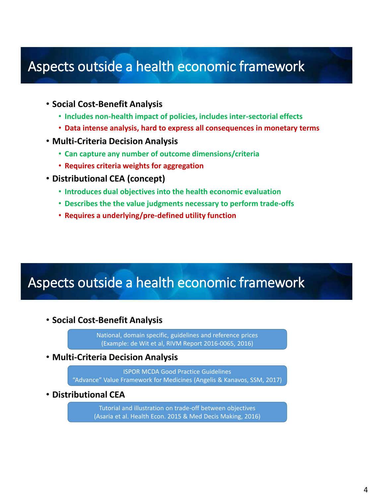### Aspects outside a health economic framework

- **Social Cost-Benefit Analysis**
	- **Includes non-health impact of policies, includes inter-sectorial effects**
	- **Data intense analysis, hard to express all consequences in monetary terms**
- **Multi-Criteria Decision Analysis**
	- **Can capture any number of outcome dimensions/criteria**
	- **Requires criteria weights for aggregation**
- **Distributional CEA (concept)**
	- **Introduces dual objectives into the health economic evaluation**
	- **Describes the the value judgments necessary to perform trade-offs**
	- **Requires a underlying/pre-defined utility function**

### Aspects outside a health economic framework

• **Social Cost-Benefit Analysis**

National, domain specific, guidelines and reference prices (Example: de Wit et al, RIVM Report 2016-0065, 2016)

• **Multi-Criteria Decision Analysis**

ISPOR MCDA Good Practice Guidelines "Advance" Value Framework for Medicines (Angelis & Kanavos, SSM, 2017)

• **Distributional CEA**

Tutorial and illustration on trade-off between objectives (Asaria et al. Health Econ. 2015 & Med Decis Making, 2016)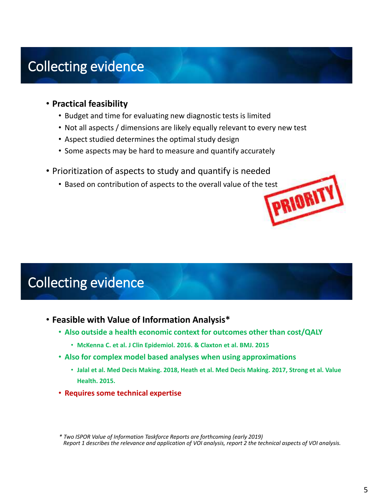# Collecting evidence

- **Practical feasibility**
	- Budget and time for evaluating new diagnostic tests is limited
	- Not all aspects / dimensions are likely equally relevant to every new test
	- Aspect studied determines the optimal study design
	- Some aspects may be hard to measure and quantify accurately
- Prioritization of aspects to study and quantify is needed
	- Based on contribution of aspects to the overall value of the test<br>
	TORIANTY

# Collecting evidence

- **Feasible with Value of Information Analysis\***
	- **Also outside a health economic context for outcomes other than cost/QALY**
		- **McKenna C. et al. J Clin Epidemiol. 2016. & Claxton et al. BMJ. 2015**
	- **Also for complex model based analyses when using approximations**
		- **Jalal et al. Med Decis Making. 2018, Heath et al. Med Decis Making. 2017, Strong et al. Value Health. 2015.**
	- **Requires some technical expertise**

*\* Two ISPOR Value of Information Taskforce Reports are forthcoming (early 2019) Report 1 describes the relevance and application of VOI analysis, report 2 the technical aspects of VOI analysis.*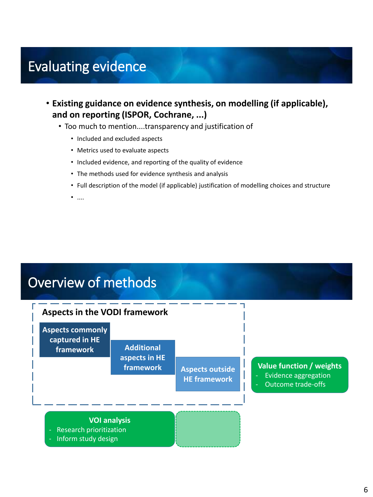## Evaluating evidence

- **Existing guidance on evidence synthesis, on modelling (if applicable), and on reporting (ISPOR, Cochrane, ...)** 
	- Too much to mention....transparency and justification of
		- Included and excluded aspects
		- Metrics used to evaluate aspects
		- Included evidence, and reporting of the quality of evidence
		- The methods used for evidence synthesis and analysis
		- Full description of the model (if applicable) justification of modelling choices and structure
		- $\bullet$  ....

# Overview of methods

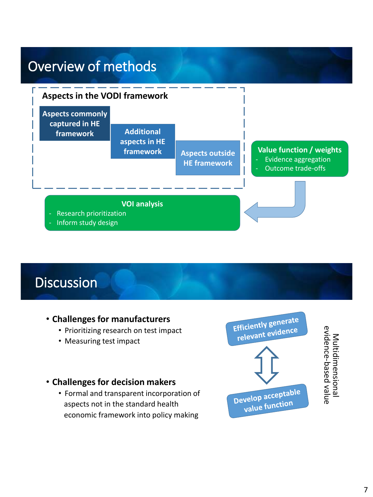

### **Discussion**

#### • **Challenges for manufacturers**

- Prioritizing research on test impact
- Measuring test impact

#### • **Challenges for decision makers**

• Formal and transparent incorporation of aspects not in the standard health economic framework into policy making



Multidimensional<br>evidence-based value evidence-based valueMultidimensional